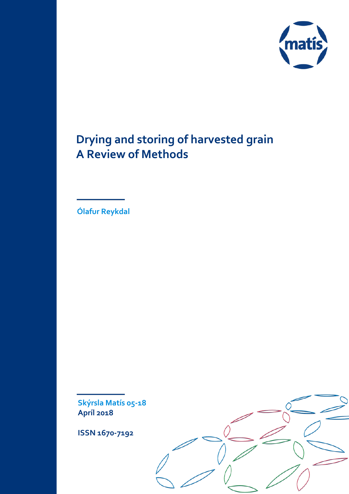

# **Drying and storing of harvested grain A Review of Methods**

**Ólafur Reykdal**

**Skýrsla Matís 05-18 Apríl 2018**

**ISSN 1670-7192**

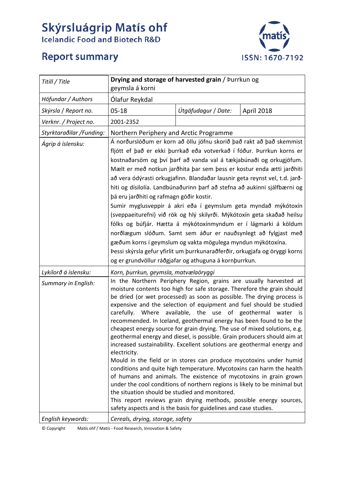# **Skýrsluágrip Matís ohf**<br>Icelandic Food and Biotech R&D



# **Report summary**

| Titill / Title           | Drying and storage of harvested grain / Þurrkun og<br>geymsla á korni                                                                                                                                                                                                                                                                                                                                                                                                                                                                                                                                                                                                                                                                                                                                                                                                                                                                                                                                                                                                                                                                                                                     |                     |            |  |  |
|--------------------------|-------------------------------------------------------------------------------------------------------------------------------------------------------------------------------------------------------------------------------------------------------------------------------------------------------------------------------------------------------------------------------------------------------------------------------------------------------------------------------------------------------------------------------------------------------------------------------------------------------------------------------------------------------------------------------------------------------------------------------------------------------------------------------------------------------------------------------------------------------------------------------------------------------------------------------------------------------------------------------------------------------------------------------------------------------------------------------------------------------------------------------------------------------------------------------------------|---------------------|------------|--|--|
| Höfundar / Authors       | Ólafur Reykdal                                                                                                                                                                                                                                                                                                                                                                                                                                                                                                                                                                                                                                                                                                                                                                                                                                                                                                                                                                                                                                                                                                                                                                            |                     |            |  |  |
| Skýrsla / Report no.     | $05 - 18$                                                                                                                                                                                                                                                                                                                                                                                                                                                                                                                                                                                                                                                                                                                                                                                                                                                                                                                                                                                                                                                                                                                                                                                 | Útgáfudagur / Date: | Apríl 2018 |  |  |
| Verknr. / Project no.    | 2001-2352                                                                                                                                                                                                                                                                                                                                                                                                                                                                                                                                                                                                                                                                                                                                                                                                                                                                                                                                                                                                                                                                                                                                                                                 |                     |            |  |  |
| Styrktaraðilar /Funding: | Northern Periphery and Arctic Programme                                                                                                                                                                                                                                                                                                                                                                                                                                                                                                                                                                                                                                                                                                                                                                                                                                                                                                                                                                                                                                                                                                                                                   |                     |            |  |  |
| Ágrip á íslensku:        | Á norðurslóðum er korn að öllu jöfnu skorið það rakt að það skemmist<br>fljótt ef það er ekki þurrkað eða votverkað í fóður. Þurrkun korns er<br>kostnaðarsöm og því þarf að vanda val á tækjabúnaði og orkugjöfum.<br>Mælt er með notkun jarðhita þar sem þess er kostur enda ætti jarðhiti<br>að vera ódýrasti orkugjafinn. Blandaðar lausnir geta reynst vel, t.d. jarð-<br>hiti og dísilolía. Landbúnaðurinn þarf að stefna að aukinni sjálfbærni og<br>þá eru jarðhiti og rafmagn góðir kostir.<br>Sumir myglusveppir á akri eða í geymslum geta myndað mýkótoxín<br>(sveppaeiturefni) við rök og hlý skilyrði. Mýkótoxín geta skaðað heilsu<br>fólks og búfjár. Hætta á mýkótoxínmyndum er í lágmarki á köldum<br>norðlægum slóðum. Samt sem áður er nauðsynlegt að fylgjast með<br>gæðum korns í geymslum og vakta mögulega myndun mýkótoxína.<br>Þessi skýrsla gefur yfirlit um þurrkunaraðferðir, orkugjafa og öryggi korns<br>og er grundvöllur ráðgjafar og athuguna á kornþurrkun.                                                                                                                                                                                            |                     |            |  |  |
| Lykilorð á íslensku:     | Korn, þurrkun, geymsla, matvælaöryggi                                                                                                                                                                                                                                                                                                                                                                                                                                                                                                                                                                                                                                                                                                                                                                                                                                                                                                                                                                                                                                                                                                                                                     |                     |            |  |  |
| Summary in English:      | In the Northern Periphery Region, grains are usually harvested at<br>moisture contents too high for safe storage. Therefore the grain should<br>be dried (or wet processed) as soon as possible. The drying process is<br>expensive and the selection of equipment and fuel should be studied<br>available, the use of geothermal water is<br>carefully.<br>Where<br>recommended. In Iceland, geothermal energy has been found to be the<br>cheapest energy source for grain drying. The use of mixed solutions, e.g.<br>geothermal energy and diesel, is possible. Grain producers should aim at<br>increased sustainability. Excellent solutions are geothermal energy and<br>electricity.<br>Mould in the field or in stores can produce mycotoxins under humid<br>conditions and quite high temperature. Mycotoxins can harm the health<br>of humans and animals. The existence of mycotoxins in grain grown<br>under the cool conditions of northern regions is likely to be minimal but<br>the situation should be studied and monitored.<br>This report reviews grain drying methods, possible energy sources,<br>safety aspects and is the basis for guidelines and case studies. |                     |            |  |  |
| English keywords:        | Cereals, drying, storage, safety                                                                                                                                                                                                                                                                                                                                                                                                                                                                                                                                                                                                                                                                                                                                                                                                                                                                                                                                                                                                                                                                                                                                                          |                     |            |  |  |

© Copyright Matís ohf / Matis - Food Research, Innovation & Safety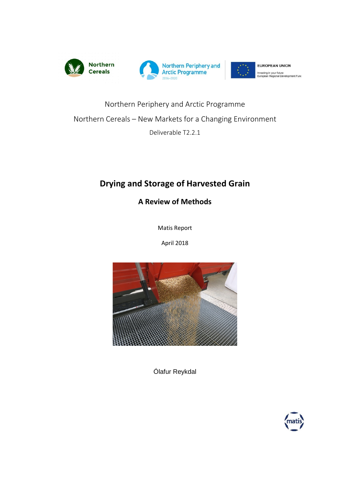

# Northern Periphery and Arctic Programme Northern Cereals – New Markets for a Changing Environment Deliverable T2.2.1

# **Drying and Storage of Harvested Grain**

**A Review of Methods**

Matis Report

April 2018



Ólafur Reykdal

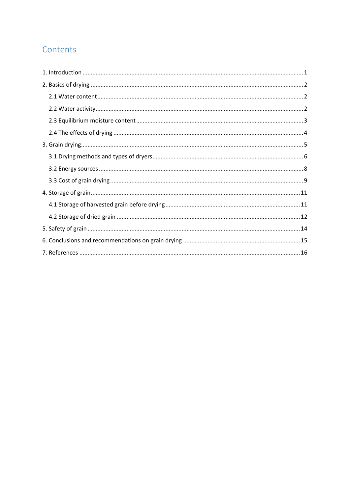# Contents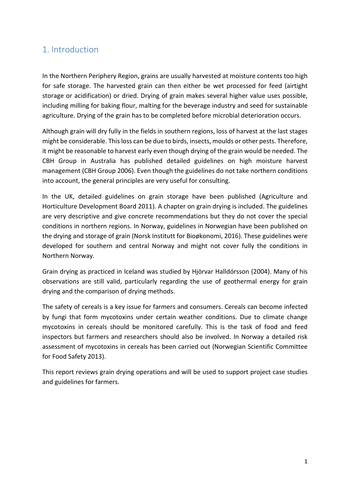# <span id="page-4-0"></span>1. Introduction

In the Northern Periphery Region, grains are usually harvested at moisture contents too high for safe storage. The harvested grain can then either be wet processed for feed (airtight storage or acidification) or dried. Drying of grain makes several higher value uses possible, including milling for baking flour, malting for the beverage industry and seed for sustainable agriculture. Drying of the grain has to be completed before microbial deterioration occurs.

Although grain will dry fully in the fields in southern regions, loss of harvest at the last stages might be considerable. This loss can be due to birds, insects, moulds or other pests. Therefore, it might be reasonable to harvest early even though drying of the grain would be needed. The CBH Group in Australia has published detailed guidelines on high moisture harvest management (CBH Group 2006). Even though the guidelines do not take northern conditions into account, the general principles are very useful for consulting.

In the UK, detailed guidelines on grain storage have been published (Agriculture and Horticulture Development Board 2011). A chapter on grain drying is included. The guidelines are very descriptive and give concrete recommendations but they do not cover the special conditions in northern regions. In Norway, guidelines in Norwegian have been published on the drying and storage of grain (Norsk Institutt for Bioøkonomi, 2016). These guidelines were developed for southern and central Norway and might not cover fully the conditions in Northern Norway.

Grain drying as practiced in Iceland was studied by Hjörvar Halldórsson (2004). Many of his observations are still valid, particularly regarding the use of geothermal energy for grain drying and the comparison of drying methods.

The safety of cereals is a key issue for farmers and consumers. Cereals can become infected by fungi that form mycotoxins under certain weather conditions. Due to climate change mycotoxins in cereals should be monitored carefully. This is the task of food and feed inspectors but farmers and researchers should also be involved. In Norway a detailed risk assessment of mycotoxins in cereals has been carried out (Norwegian Scientific Committee for Food Safety 2013).

This report reviews grain drying operations and will be used to support project case studies and guidelines for farmers.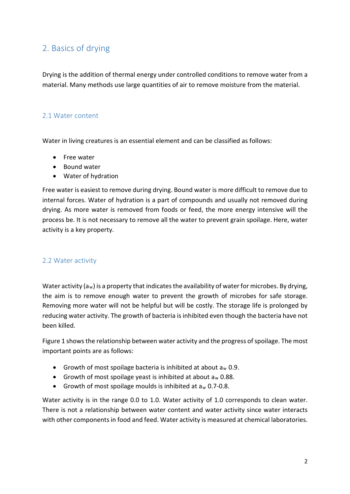# <span id="page-5-0"></span>2. Basics of drying

Drying is the addition of thermal energy under controlled conditions to remove water from a material. Many methods use large quantities of air to remove moisture from the material.

#### <span id="page-5-1"></span>2.1 Water content

Water in living creatures is an essential element and can be classified as follows:

- Free water
- Bound water
- Water of hydration

Free water is easiest to remove during drying. Bound water is more difficult to remove due to internal forces. Water of hydration is a part of compounds and usually not removed during drying. As more water is removed from foods or feed, the more energy intensive will the process be. It is not necessary to remove all the water to prevent grain spoilage. Here, water activity is a key property.

#### <span id="page-5-2"></span>2.2 Water activity

Water activity ( $a_w$ ) is a property that indicates the availability of water for microbes. By drying, the aim is to remove enough water to prevent the growth of microbes for safe storage. Removing more water will not be helpful but will be costly. The storage life is prolonged by reducing water activity. The growth of bacteria is inhibited even though the bacteria have not been killed.

Figure 1 shows the relationship between water activity and the progress of spoilage. The most important points are as follows:

- Growth of most spoilage bacteria is inhibited at about  $a_w$  0.9.
- Growth of most spoilage yeast is inhibited at about  $a_w$  0.88.
- Growth of most spoilage moulds is inhibited at aw 0.7-0.8.

Water activity is in the range 0.0 to 1.0. Water activity of 1.0 corresponds to clean water. There is not a relationship between water content and water activity since water interacts with other components in food and feed. Water activity is measured at chemical laboratories.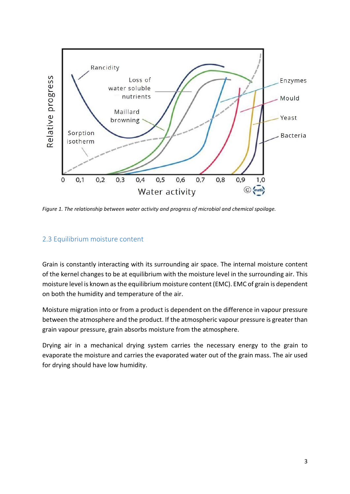

*Figure 1. The relationship between water activity and progress of microbial and chemical spoilage.* 

#### <span id="page-6-0"></span>2.3 Equilibrium moisture content

Grain is constantly interacting with its surrounding air space. The internal moisture content of the kernel changes to be at equilibrium with the moisture level in the surrounding air. This moisture level is known as the equilibrium moisture content (EMC). EMC of grain is dependent on both the humidity and temperature of the air.

Moisture migration into or from a product is dependent on the difference in vapour pressure between the atmosphere and the product. If the atmospheric vapour pressure is greater than grain vapour pressure, grain absorbs moisture from the atmosphere.

Drying air in a mechanical drying system carries the necessary energy to the grain to evaporate the moisture and carries the evaporated water out of the grain mass. The air used for drying should have low humidity.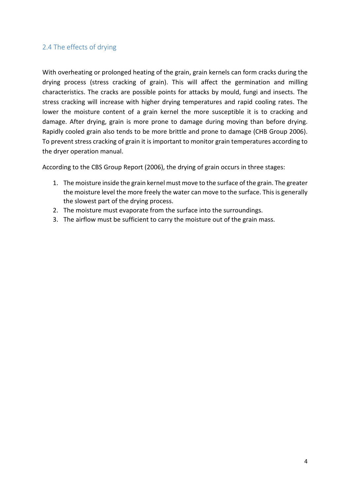#### <span id="page-7-0"></span>2.4 The effects of drying

With overheating or prolonged heating of the grain, grain kernels can form cracks during the drying process (stress cracking of grain). This will affect the germination and milling characteristics. The cracks are possible points for attacks by mould, fungi and insects. The stress cracking will increase with higher drying temperatures and rapid cooling rates. The lower the moisture content of a grain kernel the more susceptible it is to cracking and damage. After drying, grain is more prone to damage during moving than before drying. Rapidly cooled grain also tends to be more brittle and prone to damage (CHB Group 2006). To prevent stress cracking of grain it is important to monitor grain temperatures according to the dryer operation manual.

According to the CBS Group Report (2006), the drying of grain occurs in three stages:

- 1. The moisture inside the grain kernel must move to the surface of the grain. The greater the moisture level the more freely the water can move to the surface. This is generally the slowest part of the drying process.
- 2. The moisture must evaporate from the surface into the surroundings.
- 3. The airflow must be sufficient to carry the moisture out of the grain mass.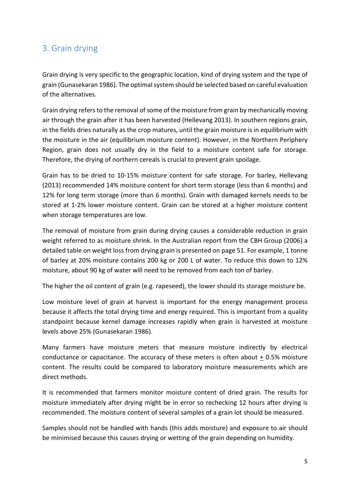## <span id="page-8-0"></span>3. Grain drying

Grain drying is very specific to the geographic location, kind of drying system and the type of grain (Gunasekaran 1986). The optimal system should be selected based on careful evaluation of the alternatives.

Grain drying refers to the removal of some of the moisture from grain by mechanically moving air through the grain after it has been harvested (Hellevang 2013). In southern regions grain, in the fields dries naturally as the crop matures, until the grain moisture is in equilibrium with the moisture in the air (equilibrium moisture content). However, in the Northern Periphery Region, grain does not usually dry in the field to a moisture content safe for storage. Therefore, the drying of northern cereals is crucial to prevent grain spoilage.

Grain has to be dried to 10-15% moisture content for safe storage. For barley, Hellevang (2013) recommended 14% moisture content for short term storage (less than 6 months) and 12% for long term storage (more than 6 months). Grain with damaged kernels needs to be stored at 1-2% lower moisture content. Grain can be stored at a higher moisture content when storage temperatures are low.

The removal of moisture from grain during drying causes a considerable reduction in grain weight referred to as moisture shrink. In the Australian report from the CBH Group (2006) a detailed table on weight loss from drying grain is presented on page 51. For example, 1 tonne of barley at 20% moisture contains 200 kg or 200 L of water. To reduce this down to 12% moisture, about 90 kg of water will need to be removed from each ton of barley.

The higher the oil content of grain (e.g. rapeseed), the lower should its storage moisture be.

Low moisture level of grain at harvest is important for the energy management process because it affects the total drying time and energy required. This is important from a quality standpoint because kernel damage increases rapidly when grain is harvested at moisture levels above 25% (Gunasekaran 1986).

Many farmers have moisture meters that measure moisture indirectly by electrical conductance or capacitance. The accuracy of these meters is often about + 0.5% moisture content. The results could be compared to laboratory moisture measurements which are direct methods.

It is recommended that farmers monitor moisture content of dried grain. The results for moisture immediately after drying might be in error so rechecking 12 hours after drying is recommended. The moisture content of several samples of a grain lot should be measured.

Samples should not be handled with hands (this adds moisture) and exposure to air should be minimised because this causes drying or wetting of the grain depending on humidity.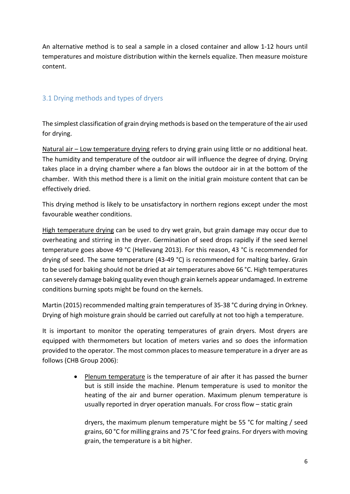An alternative method is to seal a sample in a closed container and allow 1-12 hours until temperatures and moisture distribution within the kernels equalize. Then measure moisture content.

#### <span id="page-9-0"></span>3.1 Drying methods and types of dryers

The simplest classification of grain drying methods is based on the temperature of the air used for drying.

Natural air – Low temperature drying refers to drying grain using little or no additional heat. The humidity and temperature of the outdoor air will influence the degree of drying. Drying takes place in a drying chamber where a fan blows the outdoor air in at the bottom of the chamber. With this method there is a limit on the initial grain moisture content that can be effectively dried.

This drying method is likely to be unsatisfactory in northern regions except under the most favourable weather conditions.

High temperature drying can be used to dry wet grain, but grain damage may occur due to overheating and stirring in the dryer. Germination of seed drops rapidly if the seed kernel temperature goes above 49 °C (Hellevang 2013). For this reason, 43 °C is recommended for drying of seed. The same temperature (43-49 °C) is recommended for malting barley. Grain to be used for baking should not be dried at air temperatures above 66 °C. High temperatures can severely damage baking quality even though grain kernels appear undamaged. In extreme conditions burning spots might be found on the kernels.

Martin (2015) recommended malting grain temperatures of 35-38 °C during drying in Orkney. Drying of high moisture grain should be carried out carefully at not too high a temperature.

It is important to monitor the operating temperatures of grain dryers. Most dryers are equipped with thermometers but location of meters varies and so does the information provided to the operator. The most common places to measure temperature in a dryer are as follows (CHB Group 2006):

> • Plenum temperature is the temperature of air after it has passed the burner but is still inside the machine. Plenum temperature is used to monitor the heating of the air and burner operation. Maximum plenum temperature is usually reported in dryer operation manuals. For cross flow – static grain

dryers, the maximum plenum temperature might be 55 °C for malting / seed grains, 60 °C for milling grains and 75 °C for feed grains. For dryers with moving grain, the temperature is a bit higher.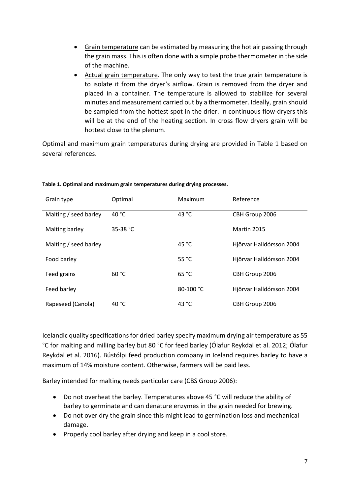- Grain temperature can be estimated by measuring the hot air passing through the grain mass. This is often done with a simple probe thermometer in the side of the machine.
- Actual grain temperature. The only way to test the true grain temperature is to isolate it from the dryer's airflow. Grain is removed from the dryer and placed in a container. The temperature is allowed to stabilize for several minutes and measurement carried out by a thermometer. Ideally, grain should be sampled from the hottest spot in the drier. In continuous flow-dryers this will be at the end of the heating section. In cross flow dryers grain will be hottest close to the plenum.

Optimal and maximum grain temperatures during drying are provided in Table 1 based on several references.

| Grain type            | Optimal            | Maximum         | Reference                |
|-----------------------|--------------------|-----------------|--------------------------|
| Malting / seed barley | 40 °C              | 43 °C           | CBH Group 2006           |
| Malting barley        | 35-38 $^{\circ}$ C |                 | Martin 2015              |
| Malting / seed barley |                    | 45 °C           | Hjörvar Halldórsson 2004 |
| Food barley           |                    | 55 $^{\circ}$ C | Hjörvar Halldórsson 2004 |
| Feed grains           | 60 °C              | 65 °C           | CBH Group 2006           |
| Feed barley           |                    | 80-100 °C       | Hjörvar Halldórsson 2004 |
| Rapeseed (Canola)     | 40 °C              | 43 °C           | CBH Group 2006           |

**Table 1. Optimal and maximum grain temperatures during drying processes.**

Icelandic quality specifications for dried barley specify maximum drying air temperature as 55 °C for malting and milling barley but 80 °C for feed barley (Ólafur Reykdal et al. 2012; Ólafur Reykdal et al. 2016). Bústólpi feed production company in Iceland requires barley to have a maximum of 14% moisture content. Otherwise, farmers will be paid less.

Barley intended for malting needs particular care (CBS Group 2006):

- Do not overheat the barley. Temperatures above 45 °C will reduce the ability of barley to germinate and can denature enzymes in the grain needed for brewing.
- Do not over dry the grain since this might lead to germination loss and mechanical damage.
- Properly cool barley after drying and keep in a cool store.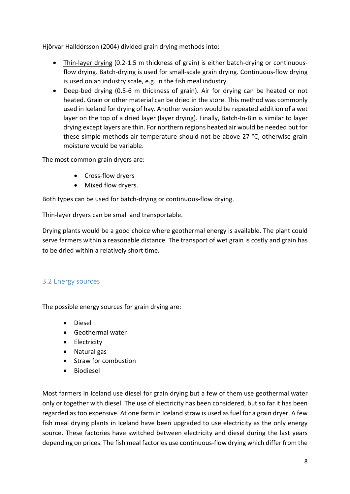Hjörvar Halldórsson (2004) divided grain drying methods into:

- Thin-layer drying (0.2-1.5 m thickness of grain) is either batch-drying or continuousflow drying. Batch-drying is used for small-scale grain drying. Continuous-flow drying is used on an industry scale, e.g. in the fish meal industry.
- Deep-bed drying (0.5-6 m thickness of grain). Air for drying can be heated or not heated. Grain or other material can be dried in the store. This method was commonly used in Iceland for drying of hay. Another version would be repeated addition of a wet layer on the top of a dried layer (layer drying). Finally, Batch-In-Bin is similar to layer drying except layers are thin. For northern regions heated air would be needed but for these simple methods air temperature should not be above 27 °C, otherwise grain moisture would be variable.

The most common grain dryers are:

- Cross-flow dryers
- Mixed flow dryers.

Both types can be used for batch-drying or continuous-flow drying.

Thin-layer dryers can be small and transportable.

Drying plants would be a good choice where geothermal energy is available. The plant could serve farmers within a reasonable distance. The transport of wet grain is costly and grain has to be dried within a relatively short time.

#### <span id="page-11-0"></span>3.2 Energy sources

The possible energy sources for grain drying are:

- Diesel
- Geothermal water
- Electricity
- Natural gas
- Straw for combustion
- **Biodiesel**

Most farmers in Iceland use diesel for grain drying but a few of them use geothermal water only or together with diesel. The use of electricity has been considered, but so far it has been regarded as too expensive. At one farm in Iceland straw is used as fuel for a grain dryer. A few fish meal drying plants in Iceland have been upgraded to use electricity as the only energy source. These factories have switched between electricity and diesel during the last years depending on prices. The fish meal factories use continuous-flow drying which differ from the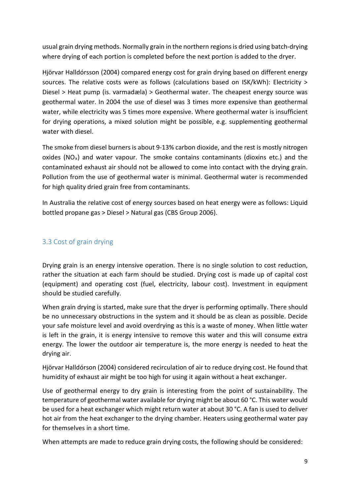usual grain drying methods. Normally grain in the northern regions is dried using batch-drying where drying of each portion is completed before the next portion is added to the dryer.

Hjörvar Halldórsson (2004) compared energy cost for grain drying based on different energy sources. The relative costs were as follows (calculations based on ISK/kWh): Electricity > Diesel > Heat pump (is. varmadæla) > Geothermal water. The cheapest energy source was geothermal water. In 2004 the use of diesel was 3 times more expensive than geothermal water, while electricity was 5 times more expensive. Where geothermal water is insufficient for drying operations, a mixed solution might be possible, e.g. supplementing geothermal water with diesel.

The smoke from diesel burners is about 9-13% carbon dioxide, and the rest is mostly nitrogen oxides (NO<sub>x</sub>) and water vapour. The smoke contains contaminants (dioxins etc.) and the contaminated exhaust air should not be allowed to come into contact with the drying grain. Pollution from the use of geothermal water is minimal. Geothermal water is recommended for high quality dried grain free from contaminants.

In Australia the relative cost of energy sources based on heat energy were as follows: Liquid bottled propane gas > Diesel > Natural gas (CBS Group 2006).

#### <span id="page-12-0"></span>3.3 Cost of grain drying

Drying grain is an energy intensive operation. There is no single solution to cost reduction, rather the situation at each farm should be studied. Drying cost is made up of capital cost (equipment) and operating cost (fuel, electricity, labour cost). Investment in equipment should be studied carefully.

When grain drying is started, make sure that the dryer is performing optimally. There should be no unnecessary obstructions in the system and it should be as clean as possible. Decide your safe moisture level and avoid overdrying as this is a waste of money. When little water is left in the grain, it is energy intensive to remove this water and this will consume extra energy. The lower the outdoor air temperature is, the more energy is needed to heat the drying air.

Hjörvar Halldórson (2004) considered recirculation of air to reduce drying cost. He found that humidity of exhaust air might be too high for using it again without a heat exchanger.

Use of geothermal energy to dry grain is interesting from the point of sustainability. The temperature of geothermal water available for drying might be about 60 °C. This water would be used for a heat exchanger which might return water at about 30 °C. A fan is used to deliver hot air from the heat exchanger to the drying chamber. Heaters using geothermal water pay for themselves in a short time.

When attempts are made to reduce grain drying costs, the following should be considered: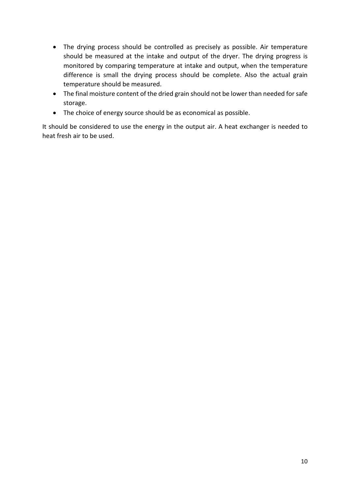- The drying process should be controlled as precisely as possible. Air temperature should be measured at the intake and output of the dryer. The drying progress is monitored by comparing temperature at intake and output, when the temperature difference is small the drying process should be complete. Also the actual grain temperature should be measured.
- The final moisture content of the dried grain should not be lower than needed for safe storage.
- The choice of energy source should be as economical as possible.

It should be considered to use the energy in the output air. A heat exchanger is needed to heat fresh air to be used.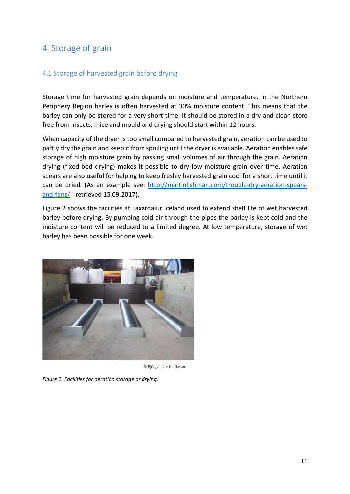### <span id="page-14-0"></span>4. Storage of grain

#### <span id="page-14-1"></span>4.1 Storage of harvested grain before drying

Storage time for harvested grain depends on moisture and temperature. In the Northern Periphery Region barley is often harvested at 30% moisture content. This means that the barley can only be stored for a very short time. It should be stored in a dry and clean store free from insects, mice and mould and drying should start within 12 hours.

When capacity of the dryer is too small compared to harvested grain, aeration can be used to partly dry the grain and keep it from spoiling until the dryer is available. Aeration enables safe storage of high moisture grain by passing small volumes of air through the grain. Aeration drying (fixed bed drying) makes it possible to dry low moisture grain over time. Aeration spears are also useful for helping to keep freshly harvested grain cool for a short time until it can be dried. (As an example see: [http://martinlishman.com/trouble-dry-aeration-spears](http://martinlishman.com/trouble-dry-aeration-spears-and-fans/)[and-fans/](http://martinlishman.com/trouble-dry-aeration-spears-and-fans/) - retrieved 15.09.2017).

Figure 2 shows the facilities at Laxárdalur Iceland used to extend shelf life of wet harvested barley before drying. By pumping cold air through the pipes the barley is kept cold and the moisture content will be reduced to a limited degree. At low temperature, storage of wet barley has been possible for one week.



© Björgvin Þór Harðarson

*Figure 2. Facilities for aeration storage or drying.*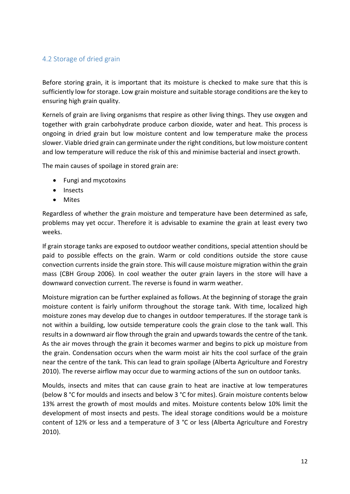#### <span id="page-15-0"></span>4.2 Storage of dried grain

Before storing grain, it is important that its moisture is checked to make sure that this is sufficiently low for storage. Low grain moisture and suitable storage conditions are the key to ensuring high grain quality.

Kernels of grain are living organisms that respire as other living things. They use oxygen and together with grain carbohydrate produce carbon dioxide, water and heat. This process is ongoing in dried grain but low moisture content and low temperature make the process slower. Viable dried grain can germinate under the right conditions, but low moisture content and low temperature will reduce the risk of this and minimise bacterial and insect growth.

The main causes of spoilage in stored grain are:

- Fungi and mycotoxins
- Insects
- Mites

Regardless of whether the grain moisture and temperature have been determined as safe, problems may yet occur. Therefore it is advisable to examine the grain at least every two weeks.

If grain storage tanks are exposed to outdoor weather conditions, special attention should be paid to possible effects on the grain. Warm or cold conditions outside the store cause convection currents inside the grain store. This will cause moisture migration within the grain mass (CBH Group 2006). In cool weather the outer grain layers in the store will have a downward convection current. The reverse is found in warm weather.

Moisture migration can be further explained as follows. At the beginning of storage the grain moisture content is fairly uniform throughout the storage tank. With time, localized high moisture zones may develop due to changes in outdoor temperatures. If the storage tank is not within a building, low outside temperature cools the grain close to the tank wall. This results in a downward air flow through the grain and upwards towards the centre of the tank. As the air moves through the grain it becomes warmer and begins to pick up moisture from the grain. Condensation occurs when the warm moist air hits the cool surface of the grain near the centre of the tank. This can lead to grain spoilage (Alberta Agriculture and Forestry 2010). The reverse airflow may occur due to warming actions of the sun on outdoor tanks.

Moulds, insects and mites that can cause grain to heat are inactive at low temperatures (below 8 °C for moulds and insects and below 3 °C for mites). Grain moisture contents below 13% arrest the growth of most moulds and mites. Moisture contents below 10% limit the development of most insects and pests. The ideal storage conditions would be a moisture content of 12% or less and a temperature of 3 °C or less (Alberta Agriculture and Forestry 2010).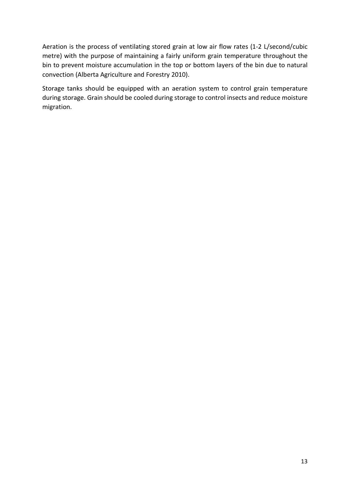Aeration is the process of ventilating stored grain at low air flow rates (1-2 L/second/cubic metre) with the purpose of maintaining a fairly uniform grain temperature throughout the bin to prevent moisture accumulation in the top or bottom layers of the bin due to natural convection (Alberta Agriculture and Forestry 2010).

Storage tanks should be equipped with an aeration system to control grain temperature during storage. Grain should be cooled during storage to control insects and reduce moisture migration.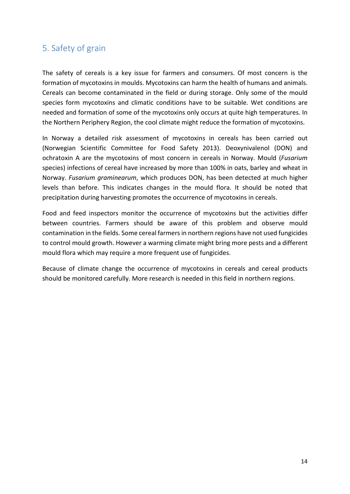## <span id="page-17-0"></span>5. Safety of grain

The safety of cereals is a key issue for farmers and consumers. Of most concern is the formation of mycotoxins in moulds. Mycotoxins can harm the health of humans and animals. Cereals can become contaminated in the field or during storage. Only some of the mould species form mycotoxins and climatic conditions have to be suitable. Wet conditions are needed and formation of some of the mycotoxins only occurs at quite high temperatures. In the Northern Periphery Region, the cool climate might reduce the formation of mycotoxins.

In Norway a detailed risk assessment of mycotoxins in cereals has been carried out (Norwegian Scientific Committee for Food Safety 2013). Deoxynivalenol (DON) and ochratoxin A are the mycotoxins of most concern in cereals in Norway. Mould (*Fusarium* species) infections of cereal have increased by more than 100% in oats, barley and wheat in Norway. *Fusarium graminearum*, which produces DON, has been detected at much higher levels than before. This indicates changes in the mould flora. It should be noted that precipitation during harvesting promotes the occurrence of mycotoxins in cereals.

Food and feed inspectors monitor the occurrence of mycotoxins but the activities differ between countries. Farmers should be aware of this problem and observe mould contamination in the fields. Some cereal farmers in northern regions have not used fungicides to control mould growth. However a warming climate might bring more pests and a different mould flora which may require a more frequent use of fungicides.

Because of climate change the occurrence of mycotoxins in cereals and cereal products should be monitored carefully. More research is needed in this field in northern regions.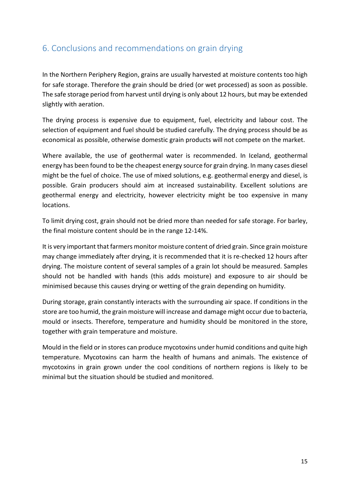# <span id="page-18-0"></span>6. Conclusions and recommendations on grain drying

In the Northern Periphery Region, grains are usually harvested at moisture contents too high for safe storage. Therefore the grain should be dried (or wet processed) as soon as possible. The safe storage period from harvest until drying is only about 12 hours, but may be extended slightly with aeration.

The drying process is expensive due to equipment, fuel, electricity and labour cost. The selection of equipment and fuel should be studied carefully. The drying process should be as economical as possible, otherwise domestic grain products will not compete on the market.

Where available, the use of geothermal water is recommended. In Iceland, geothermal energy has been found to be the cheapest energy source for grain drying. In many cases diesel might be the fuel of choice. The use of mixed solutions, e.g. geothermal energy and diesel, is possible. Grain producers should aim at increased sustainability. Excellent solutions are geothermal energy and electricity, however electricity might be too expensive in many locations.

To limit drying cost, grain should not be dried more than needed for safe storage. For barley, the final moisture content should be in the range 12-14%.

It is very important that farmers monitor moisture content of dried grain. Since grain moisture may change immediately after drying, it is recommended that it is re-checked 12 hours after drying. The moisture content of several samples of a grain lot should be measured. Samples should not be handled with hands (this adds moisture) and exposure to air should be minimised because this causes drying or wetting of the grain depending on humidity.

During storage, grain constantly interacts with the surrounding air space. If conditions in the store are too humid, the grain moisture will increase and damage might occur due to bacteria, mould or insects. Therefore, temperature and humidity should be monitored in the store, together with grain temperature and moisture.

Mould in the field or in stores can produce mycotoxins under humid conditions and quite high temperature. Mycotoxins can harm the health of humans and animals. The existence of mycotoxins in grain grown under the cool conditions of northern regions is likely to be minimal but the situation should be studied and monitored.